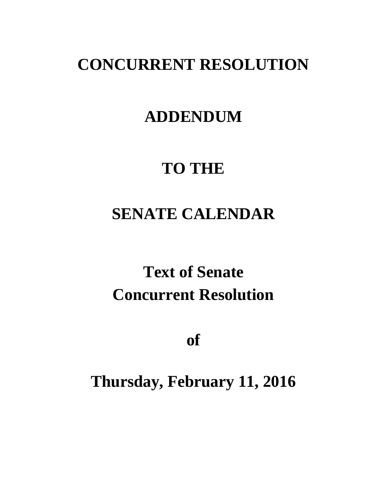### **CONCURRENT RESOLUTION**

### **ADDENDUM**

### **TO THE**

## **SENATE CALENDAR**

# **Text of Senate Concurrent Resolution**

**of**

### **Thursday, February 11, 2016**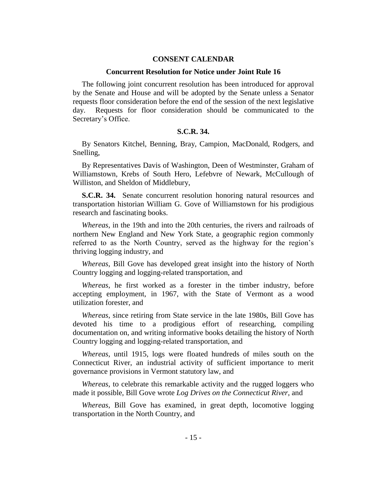#### **CONSENT CALENDAR**

#### **Concurrent Resolution for Notice under Joint Rule 16**

The following joint concurrent resolution has been introduced for approval by the Senate and House and will be adopted by the Senate unless a Senator requests floor consideration before the end of the session of the next legislative day. Requests for floor consideration should be communicated to the Secretary's Office.

#### **S.C.R. 34.**

By Senators Kitchel, Benning, Bray, Campion, MacDonald, Rodgers, and Snelling,

By Representatives Davis of Washington, Deen of Westminster, Graham of Williamstown, Krebs of South Hero, Lefebvre of Newark, McCullough of Williston, and Sheldon of Middlebury,

**S.C.R. 34.** Senate concurrent resolution honoring natural resources and transportation historian William G. Gove of Williamstown for his prodigious research and fascinating books.

*Whereas*, in the 19th and into the 20th centuries, the rivers and railroads of northern New England and New York State, a geographic region commonly referred to as the North Country, served as the highway for the region's thriving logging industry, and

*Whereas*, Bill Gove has developed great insight into the history of North Country logging and logging-related transportation, and

*Whereas*, he first worked as a forester in the timber industry, before accepting employment, in 1967, with the State of Vermont as a wood utilization forester, and

*Whereas*, since retiring from State service in the late 1980s, Bill Gove has devoted his time to a prodigious effort of researching, compiling documentation on, and writing informative books detailing the history of North Country logging and logging-related transportation, and

*Whereas*, until 1915, logs were floated hundreds of miles south on the Connecticut River, an industrial activity of sufficient importance to merit governance provisions in Vermont statutory law, and

*Whereas*, to celebrate this remarkable activity and the rugged loggers who made it possible, Bill Gove wrote *Log Drives on the Connecticut River*, and

*Whereas*, Bill Gove has examined, in great depth, locomotive logging transportation in the North Country, and